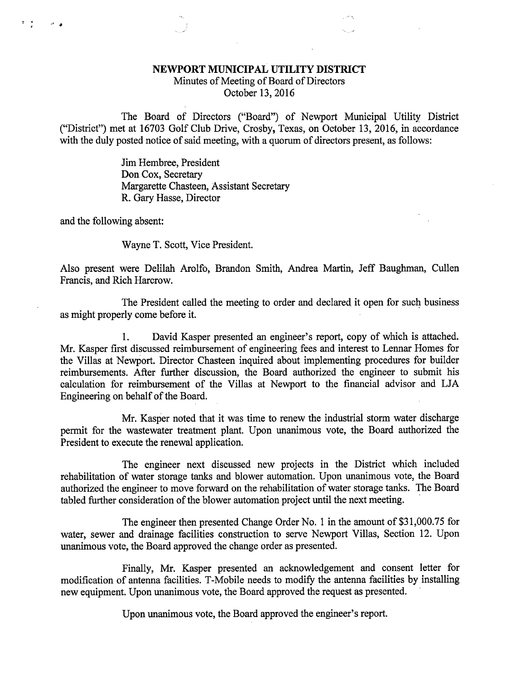## NEWPORT MUNICIPAL UTILITY DISTRICT

Minutes of Meeting of Board of Directors October 13, 2016

The Board of Directors ("Board") of Newport Municipal Utility District

("District") met at 16703 Golf Club Drive, Crosby, Texas, on October 13, 2016, in accordance with the duly posted notice of said meeting, with a quorum of directors present, as follows:

> Jim Hembree, President Don Cox, Secretary Margarette Chasteen, Assistant Secretary R. Gary Hasse, Director

and the following absent:

 $\mathcal{F} = \sum_{i=1}^n \mathcal{F}_i$ 

 $\mathcal{A}=\mathcal{A}$ 

Wayne T. Scott, Vice President.

Also present were Delilah Arolfo, Brandon Smith, Andrea Martin, Jeff Baughman, Cullen Francis, and Rich Harcrow.

The President called the meeting to order and declared it open for such business as might properly come before it.

1. David Kasper presented an engineer's report, copy of which is attached. Mr. Kasper first discussed reimbursement of engineering fees and interest to Lennar Homes for the Villas at Newport. Director Chasteen inquired about implementing procedures for builder reimbursements. After further discussion, the Board authorized the engineer to submit his calculation for reimbursement of the Villas at Newport to the financial advisor and LJA Engineering on behalf of the Board.

Mr. Kasper noted that it was time to renew the industrial storm water discharge permit for the wastewater treatment plant. Upon unanimous vote, the Board authorized the President to execute the renewal application.

The engineer next discussed new projects in the District which included rehabilitation of water storage tanks and blower automation. Upon unanimous vote, the Board authorized the engineer to move forward on the rehabilitation of water storage tanks. The Board tabled further consideration of the blower automation project until the next meeting.

The engineer then presented Change Order No. 1 in the amount of \$31,000.75 for water, sewer and drainage facilities construction to serve Newport Villas, Section 12. Upon unanimous vote, the Board approved the change order as presented.

Finally, Mr. Kasper presented an acknowledgement and consent letter for modification of antenna facilities. T-Mobile needs to modify the antenna facilities by installing new equipment. Upon unanimous vote, the Board approved the request as presented.

Upon unanimous vote, the Board approved the engineer's report.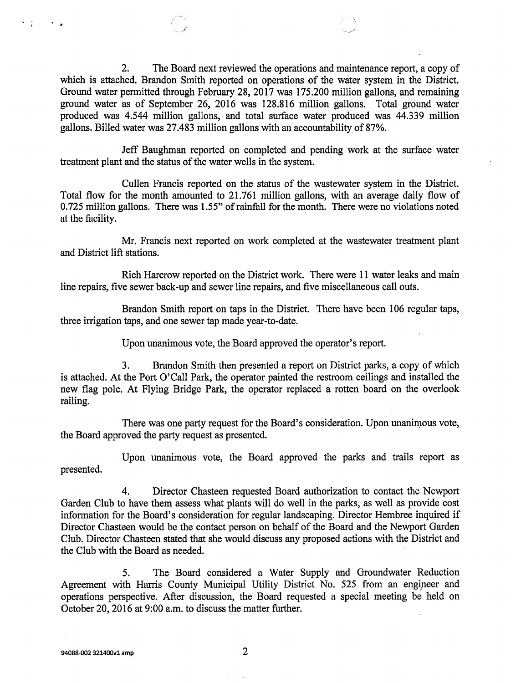2. The Board next reviewed the operations and maintenance report, a copy of which is attached. Brandon Smith reported on operations of the water system in the District. Ground water permitted through February 28, 2017 was 175.200 million gallons, and remaining ground water as of September 26, 2016 was 128.816 million gallons. Total ground water produced was 4.544 million gallons, and total surface water produced was 44.339 million gallons. Billed water was 27.483 million gallons with an accountability of 87%.

Jeff Baughman reported on completed and pending work at the surface water treatment plant and the status of the water wells in the system.

Cullen Francis reported on the status of the wastewater system in the District. Total flow for the month amounted to 21.761 million gallons, with an average daily flow of 0.725 million gallons. There was 1.55" of rainfall for the month. There were no violations noted at the facility.

Mr. Francis next reported on work completed at the wastewater treatment plant and District lift stations.

Rich Harcrow reported on the District work. There were 11 water leaks and main line repairs, five sewer back-up and sewer line repairs, and five miscellaneous call outs.

Brandon Smith report on taps in the District. There have been 106 regular taps, three irrigation taps, and one sewer tap made year-to-date.

Upon unanimous vote, the Board approved the operator's report.

3. Brandon Smith then presented a report on District parks, a copy of which is attached. At the Port O'Call Park, the operator painted the restroom ceilings and installed the new flag pole. At Flying Bridge Park, the operator replaced a rotten board on the overlook railing.

There was one party request for the Board's consideration. Upon unanimous vote, the Board approved the party request as presented.

Upon unanimous vote, the Board approved the parks and trails report as presented.

4. Director Chasteen requested Board authorization to contact the Newport Garden Club to have them assess what plants will do well in the parks, as well as provide cost information for the Board's consideration for regular landscaping. Director Hembree inquired if Director Chasteen would be the contact person on behalf of the Board and the Newport Garden Club. Director Chasteen stated that she would discuss any proposed actions with the District and the Club with the Board as needed.

5. The Board considered a Water Supply and Groundwater Reduction Agreement with Harris County Municipal Utility District No. 525 from an engineer and operations perspective. After discussion, the Board requested a special meeting be held on October 20, 2016 at 9:00 a.m. to discuss the matter further.

 $\bullet$